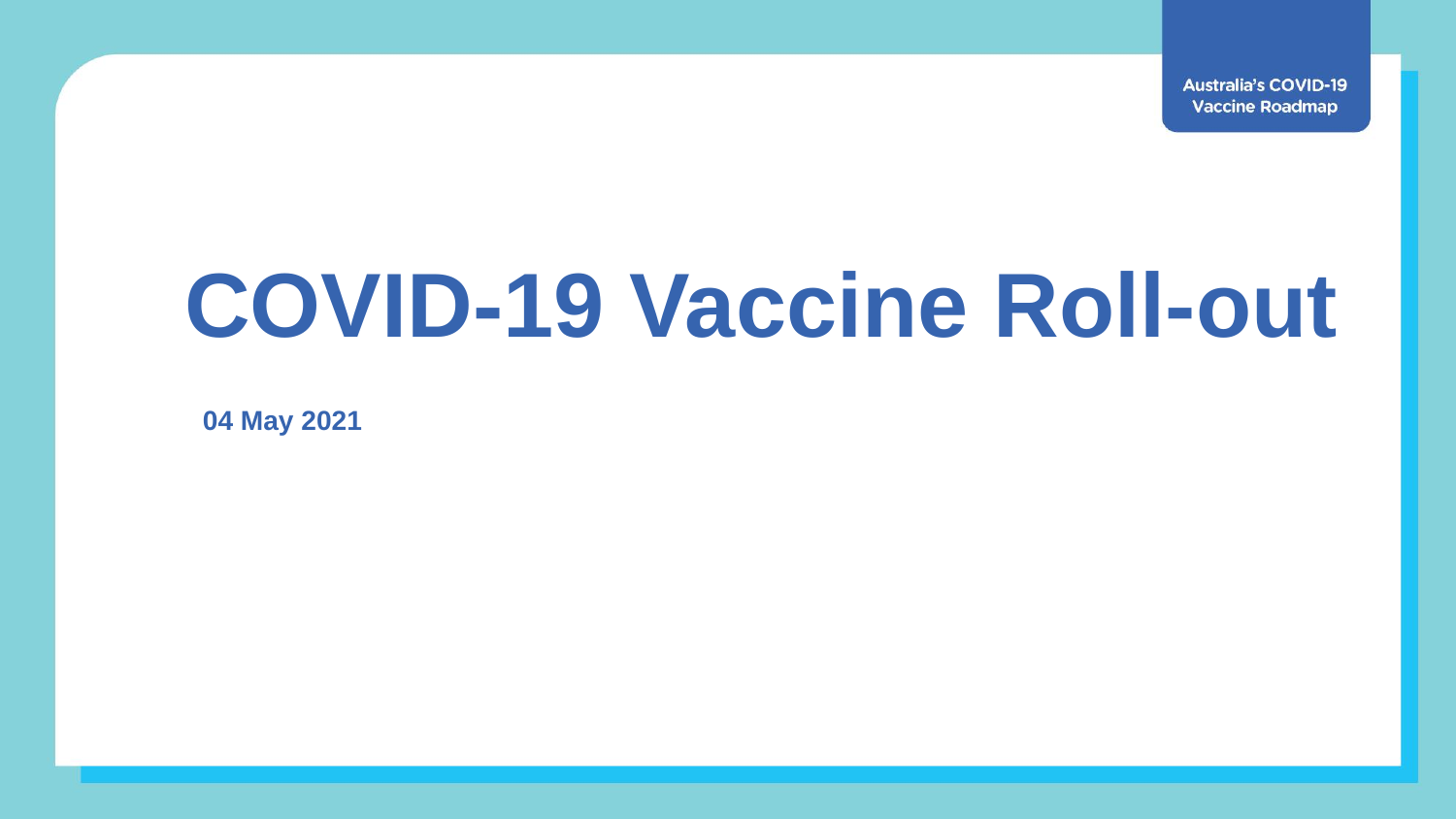**Australia's COVID-19 Vaccine Roadmap** 

## **COVID-19 Vaccine Roll-out**

**04 May 2021**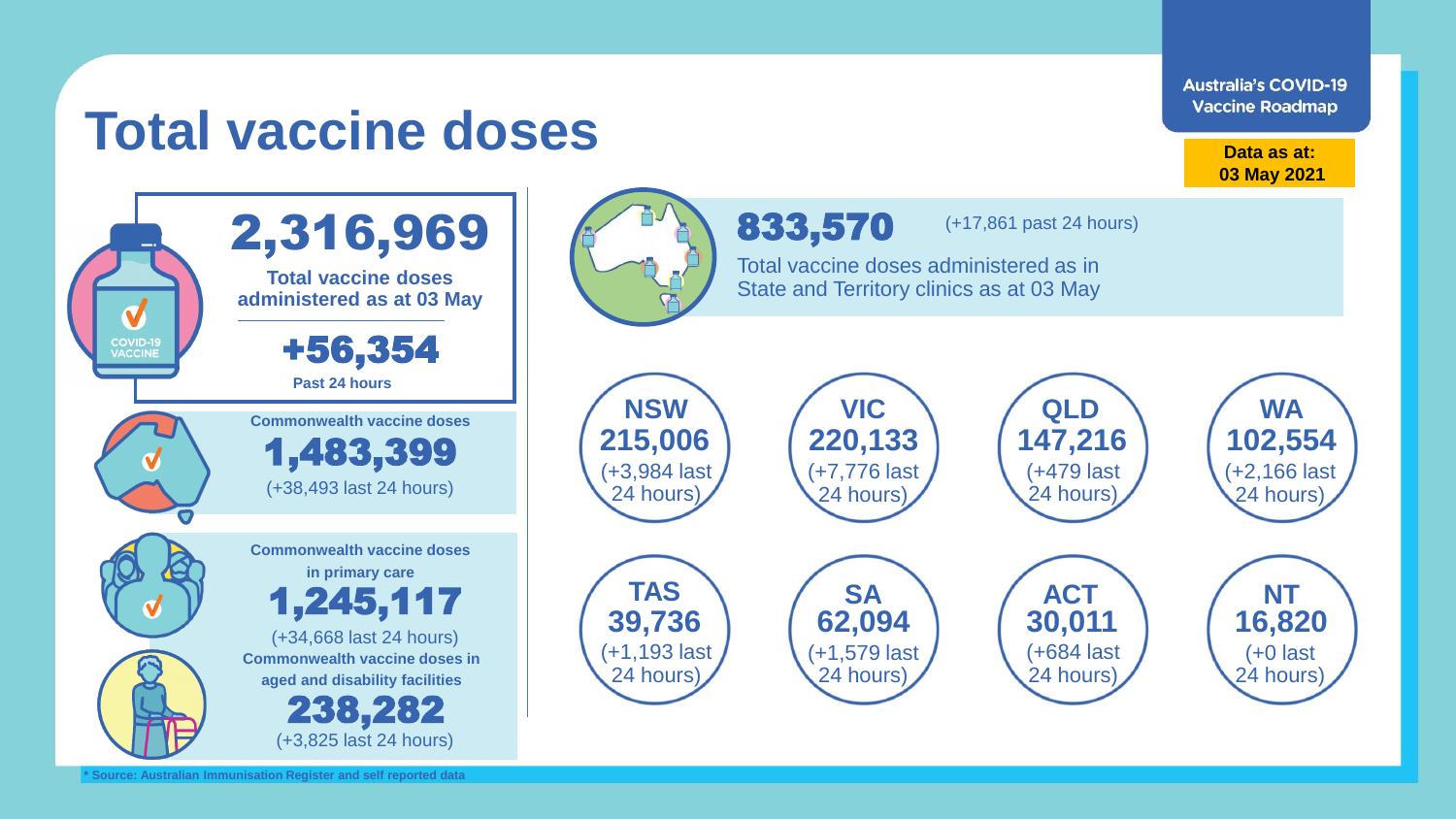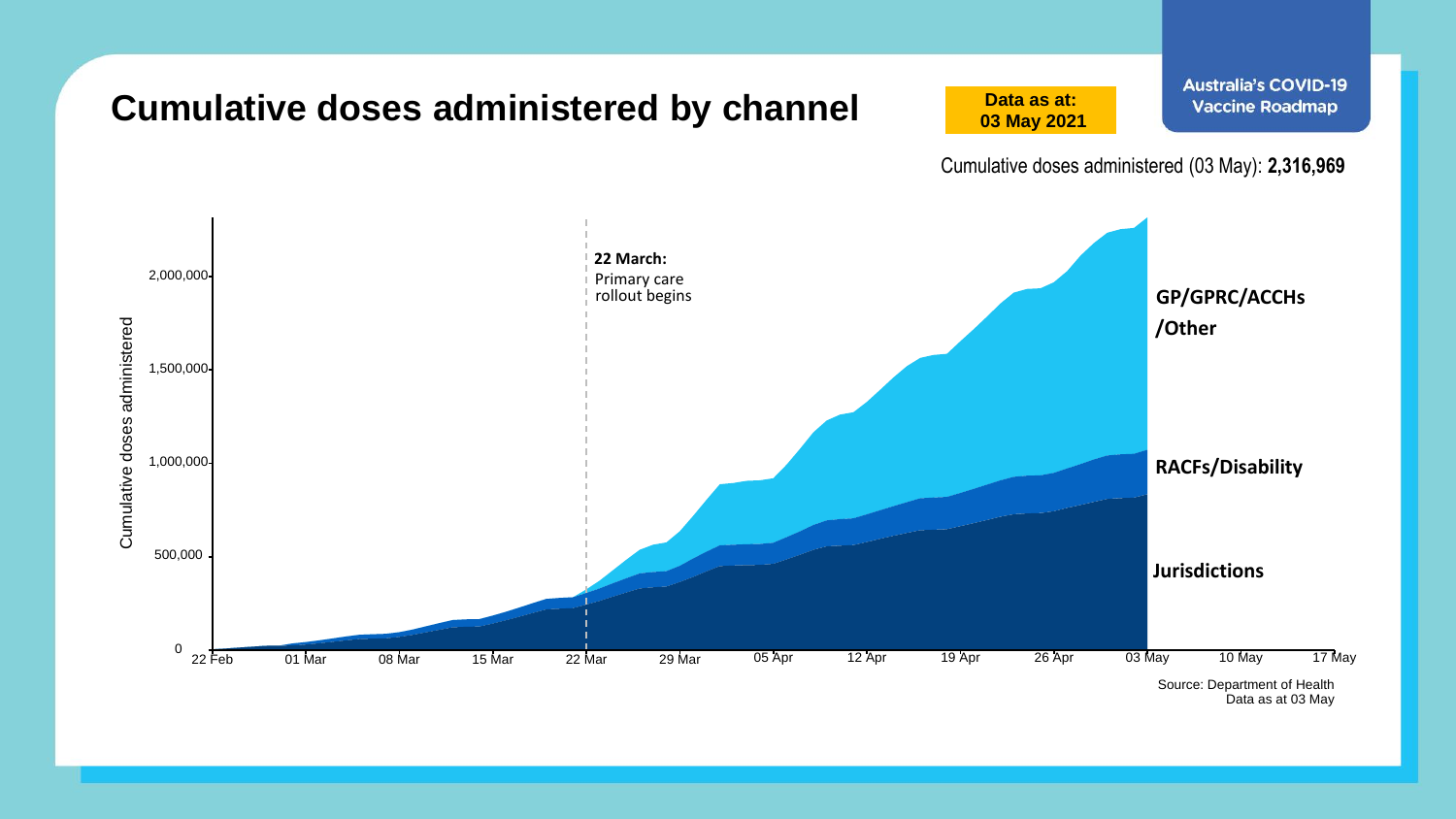

**Australia's COVID-19**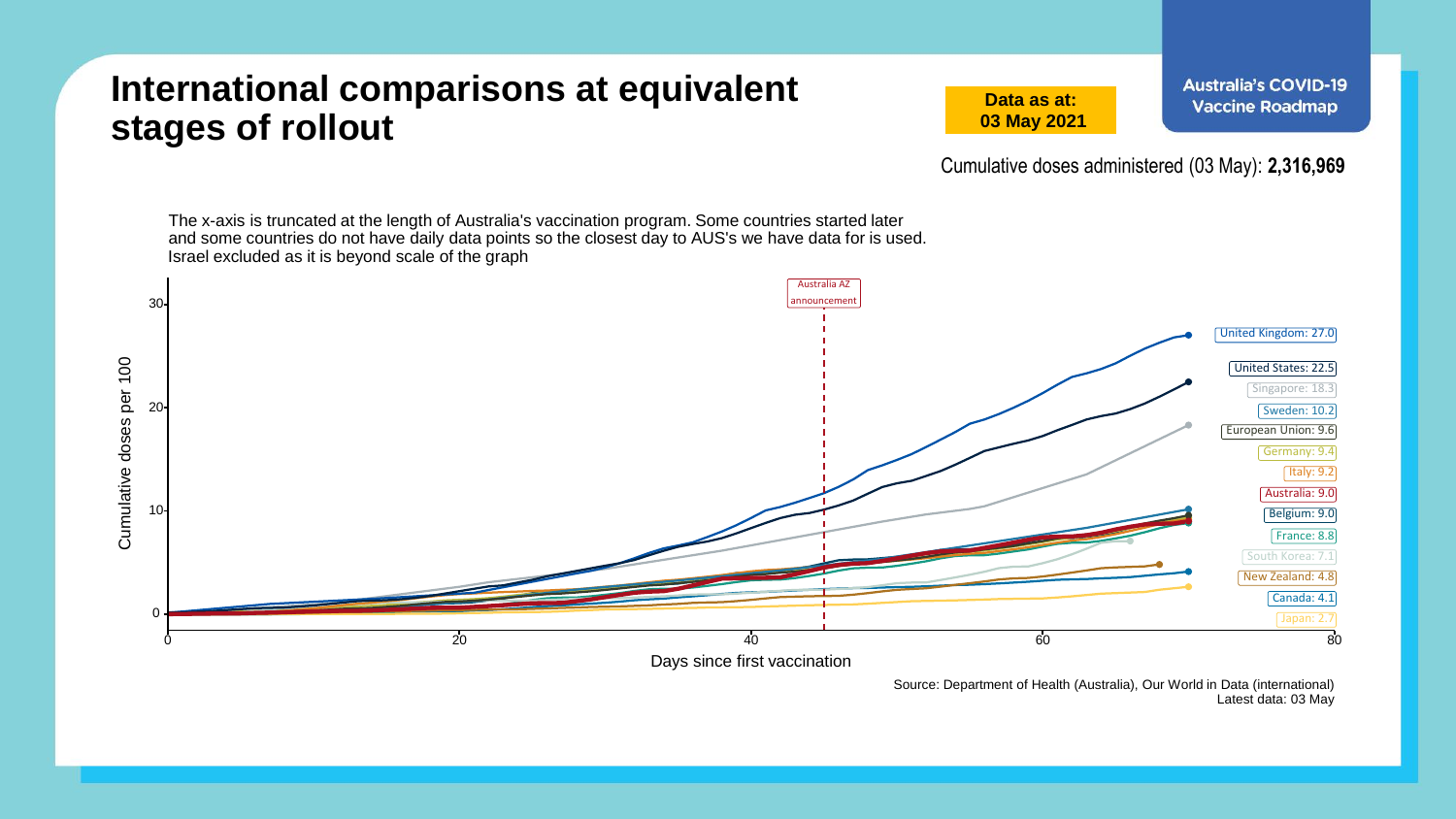## **International comparisons at equivalent stages of rollout**

**Data as at: 03 May 2021**

Cumulative doses administered (03 May): **2,316,969**

The x-axis is truncated at the length of Australia's vaccination program. Some countries started later and some countries do not have daily data points so the closest day to AUS's we have data for is used. Israel excluded as it is beyond scale of the graph Australia AZ announcement 30 United Kingdom: 27.0 Cumulative doses per 100 Cumulative doses per 100 United States: 22.5 Singapore: 18.3 20 Sweden: 10.2 European Union: 9.6 Germany: 9.4  $\sqrt{$  Italy: 9.2 Australia: 9.0 10 Belgium: 9.0 France: 8.8 South Korea: 7.1 New Zealand: 4.8 Canada: 4.1 0  $0 \hspace{2.5cm} 20 \hspace{2.5cm} 40 \hspace{2.5cm} 60 \hspace{2.5cm} 80$ Days since first vaccination

> Source: Department of Health (Australia), Our World in Data (international) Latest data: 03 May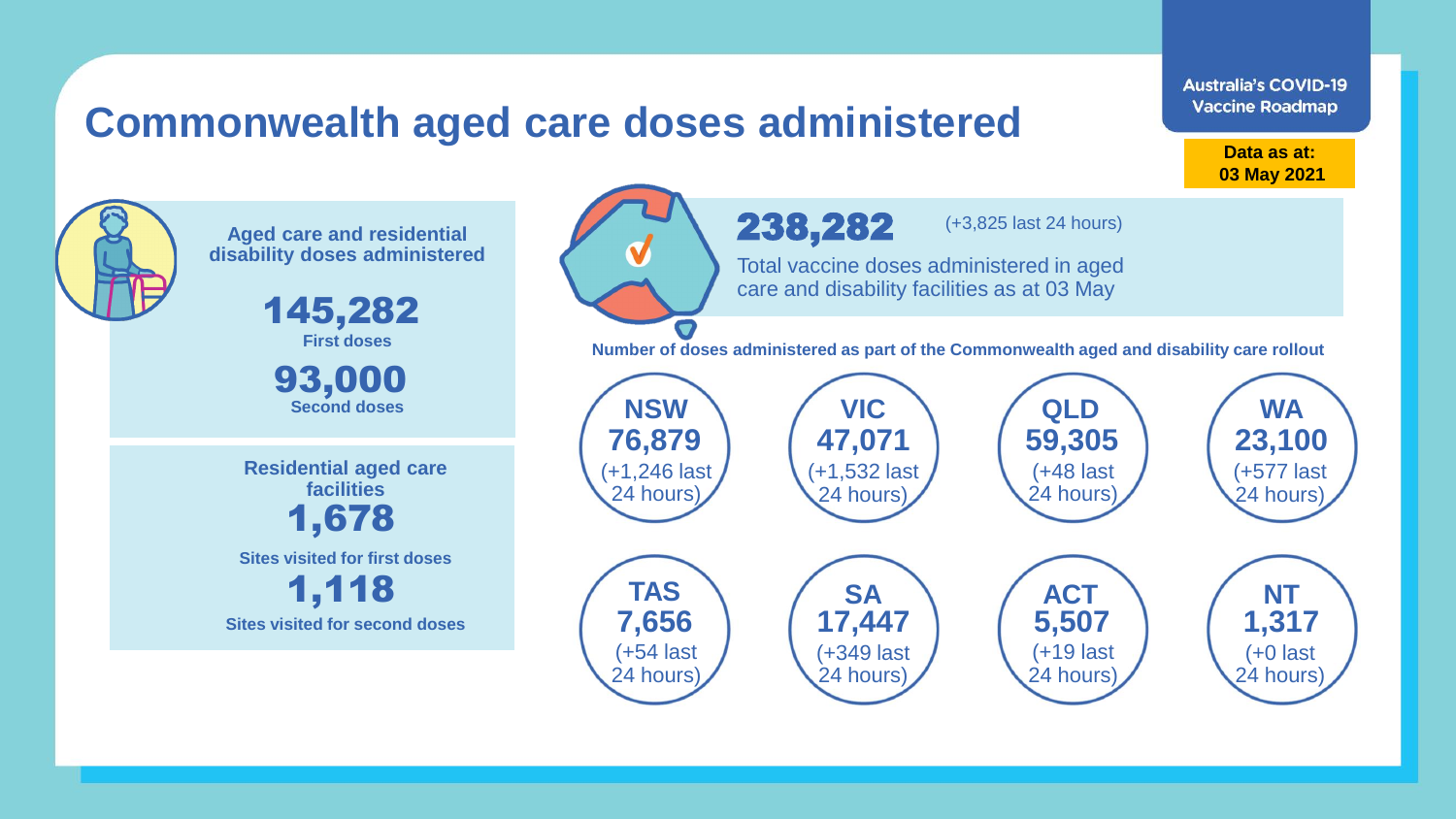## **Commonwealth aged care doses administered**

**Data as at: Data as at: 18 Apr 2021 03 May 2021**